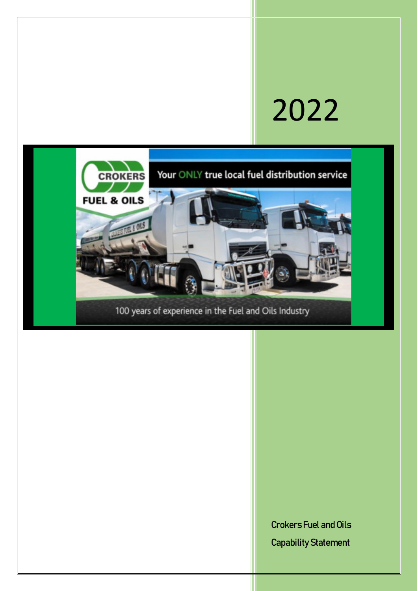# 2022



Crokers Fuel and Oils Capability Statement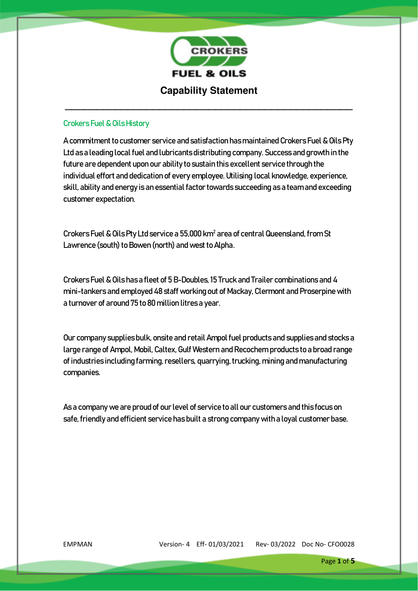

### Crokers Fuel & Oils History

A commitment to customer service and satisfaction has maintained Crokers Fuel & Oils Pty Ltd as a leading local fuel and lubricants distributing company. Success and growth in the future are dependent upon our ability to sustain this excellent service through the individual effort and dedication of every employee. Utilising local knowledge, experience, skill, ability and energy is an essential factor towards succeeding as a team and exceeding customer expectation.

Crokers Fuel & Oils Pty Ltd service a 55,000 km<sup>2</sup> area of central Queensland, from St Lawrence (south) to Bowen (north) and west to Alpha.

Crokers Fuel & Oils has a fleet of 5 B-Doubles, 15 Truck and Trailer combinations and 4 mini-tankers and employed 48 staff working out of Mackay, Clermont and Proserpine with a turnover of around 75 to 80 million litres a year.

Our company supplies bulk, onsite and retail Ampol fuel products and supplies and stocks a large range of Ampol, Mobil, Caltex, Gulf Western and Recochem products to a broad range of industries including farming, resellers, quarrying, trucking, mining and manufacturing companies.

As a company we are proud of our level of service to all our customers and this focus on safe, friendly and efficient service has built a strong company with a loyal customer base.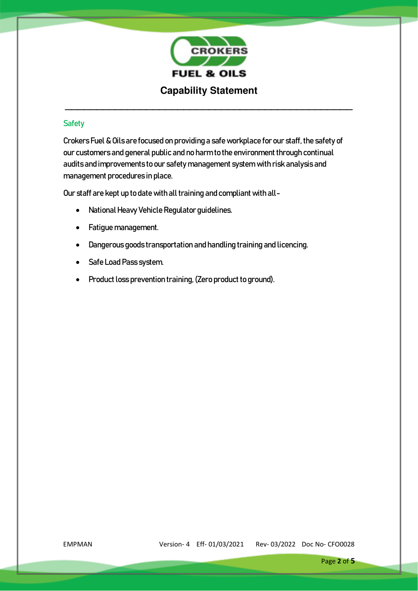

# **Safety**

Crokers Fuel & Oils are focused on providing a safe workplace for our staff, the safety of our customers and general public and no harm to the environment through continual audits and improvements to our safety management system with risk analysis and management procedures in place.

Our staff are kept up to date with all training and compliant with all-

- National Heavy Vehicle Regulator guidelines.
- Fatigue management.
- Dangerous goods transportation and handling training and licencing.
- Safe Load Pass system.
- Product loss prevention training, (Zero product to ground).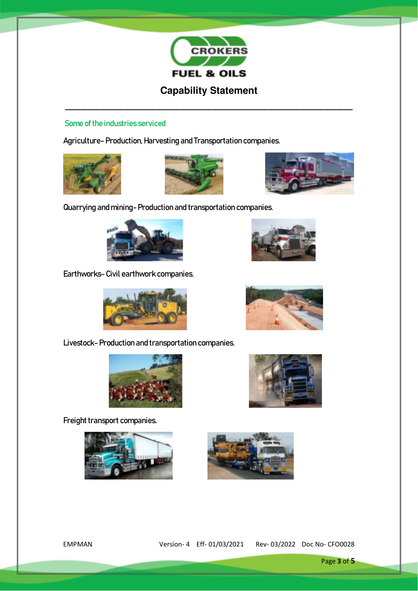

**\_\_\_\_\_\_\_\_\_\_\_\_\_\_\_\_\_\_\_\_\_\_\_\_\_\_\_\_\_\_\_\_\_\_\_\_\_\_\_\_\_\_\_\_\_\_** 

# Some of the industries serviced

Agriculture- Production, Harvesting and Transportation companies.







Quarrying and mining- Production and transportation companies.



Earthworks- Civil earthwork companies.



Livestock- Production and transportation companies.



Freight transport companies.









EMPMAN Version- 4 Eff- 01/03/2021 Rev- 03/2022 Doc No- CFO0028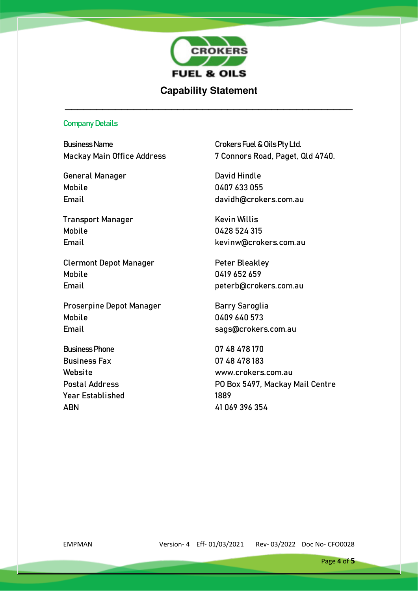

# **Capability Statement**

**\_\_\_\_\_\_\_\_\_\_\_\_\_\_\_\_\_\_\_\_\_\_\_\_\_\_\_\_\_\_\_\_\_\_\_\_\_\_\_\_\_\_\_\_\_\_** 

#### Company Details

Business Name **Crokers** Fuel & Oils Pty Ltd.

General Manager **David Hindle** Mobile 0407 633 055

**Transport Manager Communist Communist Communist Communist Communist Communist Communist Communist Communist Communist Communist Communist Communist Communist Communist Communist Communist Communist Communist Communist Com** Mobile 0428 524 315

Clermont Depot Manager Peter Bleakley Mobile 0419 652 659 Email peterb@crokers.com.au

Proserpine Depot Manager Barry Saroglia Mobile 0409 640 573 Email sags@crokers.com.au

Business Phone 07 48 478 170 Business Fax 07 48 478 183 Year Established 1889 ABN 41 069 396 354

Mackay Main Office Address 7 Connors Road, Paget, Qld 4740.

Email davidh@crokers.com.au

Email [kevinw@crokers.com.au](mailto:kevinw@crokers.com.au) 

Website www.crokers.com.au Postal Address **PO Box 5497, Mackay Mail Centre**